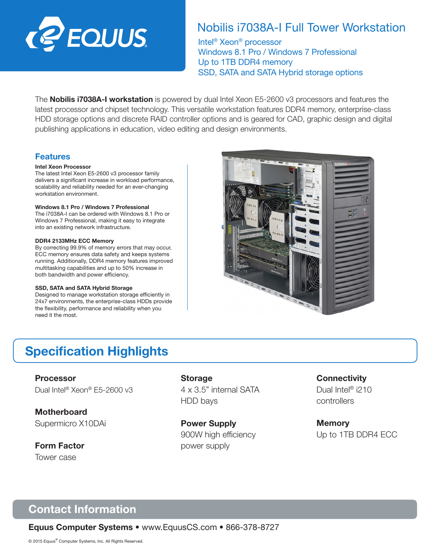

# Nobilis i7038A-I Full Tower Workstation

Intel® Xeon® processor Windows 8.1 Pro / Windows 7 Professional Up to 1TB DDR4 memory SSD, SATA and SATA Hybrid storage options

The **Nobilis i7038A-I workstation** is powered by dual Intel Xeon E5-2600 v3 processors and features the latest processor and chipset technology. This versatile workstation features DDR4 memory, enterprise-class HDD storage options and discrete RAID controller options and is geared for CAD, graphic design and digital publishing applications in education, video editing and design environments.

## Features

### Intel Xeon Processor

The latest Intel Xeon E5-2600 v3 processor family delivers a significant increase in workload performance, scalability and reliability needed for an ever-changing workstation environment.

### Windows 8.1 Pro / Windows 7 Professional

The i7038A-I can be ordered with Windows 8.1 Pro or Windows 7 Professional, making it easy to integrate into an existing network infrastructure.

### DDR4 2133MHz ECC Memory

By correcting 99.9% of memory errors that may occur, ECC memory ensures data safety and keeps systems running. Additionally, DDR4 memory features improved multitasking capabilities and up to 50% increase in both bandwidth and power efficiency.

### SSD, SATA and SATA Hybrid Storage

Designed to manage workstation storage efficiently in 24x7 environments, the enterprise-class HDDs provide the flexibility, performance and reliability when you need it the most.



# Specification Highlights

## Processor

Dual Intel® Xeon® E5-2600 v3

**Motherboard** Supermicro X10DAi

Form Factor Tower case

**Storage** 4 x 3.5" internal SATA HDD bays

Power Supply 900W high efficiency power supply

## **Connectivity**

Dual Intel<sup>®</sup> i210 controllers

**Memory** Up to 1TB DDR4 ECC

# Contact Information

Equus Computer Systems • www.EquusCS.com • 866-378-8727